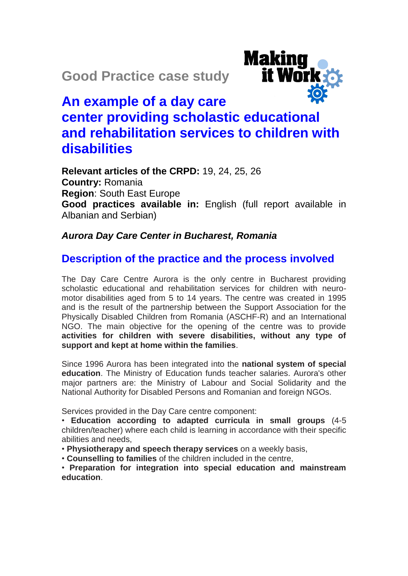**Good Practice case study**



# **An example of a day care center providing scholastic educational and rehabilitation services to children with disabilities**

**Relevant articles of the CRPD:** 19, 24, 25, 26 **Country:** Romania **Region**: South East Europe **Good practices available in:** English (full report available in Albanian and Serbian)

#### *Aurora Day Care Center in Bucharest, Romania*

## **Description of the practice and the process involved**

The Day Care Centre Aurora is the only centre in Bucharest providing scholastic educational and rehabilitation services for children with neuromotor disabilities aged from 5 to 14 years. The centre was created in 1995 and is the result of the partnership between the Support Association for the Physically Disabled Children from Romania (ASCHF-R) and an International NGO. The main objective for the opening of the centre was to provide **activities for children with severe disabilities, without any type of support and kept at home within the families**.

Since 1996 Aurora has been integrated into the **national system of special education**. The Ministry of Education funds teacher salaries. Aurora's other major partners are: the Ministry of Labour and Social Solidarity and the National Authority for Disabled Persons and Romanian and foreign NGOs.

Services provided in the Day Care centre component:

• **Education according to adapted curricula in small groups** (4-5 children/teacher) where each child is learning in accordance with their specific abilities and needs,

• **Physiotherapy and speech therapy services** on a weekly basis,

• **Counselling to families** of the children included in the centre,

• **Preparation for integration into special education and mainstream education**.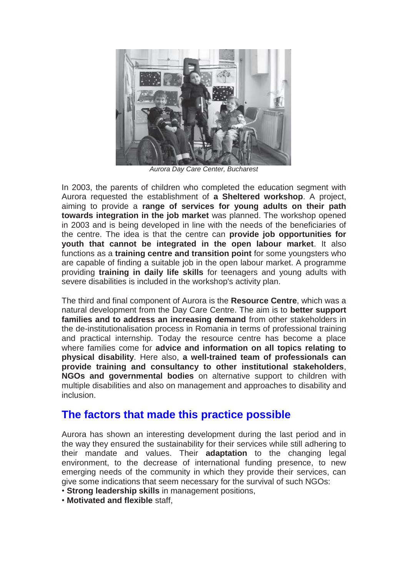

*Aurora Day Care Center, Bucharest*

In 2003, the parents of children who completed the education segment with Aurora requested the establishment of **a Sheltered workshop**. A project, aiming to provide a **range of services for young adults on their path towards integration in the job market** was planned. The workshop opened in 2003 and is being developed in line with the needs of the beneficiaries of the centre. The idea is that the centre can **provide job opportunities for youth that cannot be integrated in the open labour market**. It also functions as a **training centre and transition point** for some youngsters who are capable of finding a suitable job in the open labour market. A programme providing **training in daily life skills** for teenagers and young adults with severe disabilities is included in the workshop's activity plan.

The third and final component of Aurora is the **Resource Centre**, which was a natural development from the Day Care Centre. The aim is to **better support families and to address an increasing demand** from other stakeholders in the de-institutionalisation process in Romania in terms of professional training and practical internship. Today the resource centre has become a place where families come for **advice and information on all topics relating to physical disability**. Here also, **a well-trained team of professionals can provide training and consultancy to other institutional stakeholders**, **NGOs and governmental bodies** on alternative support to children with multiple disabilities and also on management and approaches to disability and inclusion.

#### **The factors that made this practice possible**

Aurora has shown an interesting development during the last period and in the way they ensured the sustainability for their services while still adhering to their mandate and values. Their **adaptation** to the changing legal environment, to the decrease of international funding presence, to new emerging needs of the community in which they provide their services, can give some indications that seem necessary for the survival of such NGOs:

- **Strong leadership skills** in management positions,
- **Motivated and flexible** staff,